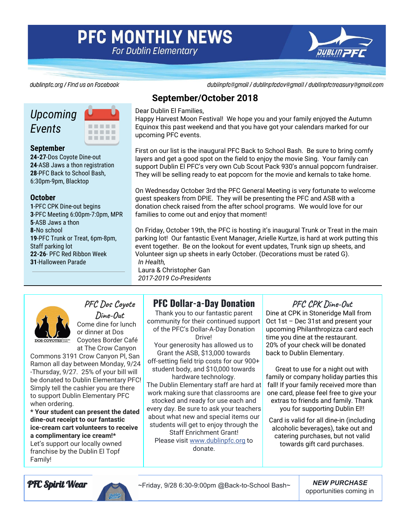# **PFC MONTHLY NEWS For Dublin Elementary**



dublinpfc.org / Find us on Facebook

dublinpfc@gmail / dublinpfcdov@gmail / dublinpfctreasury@gmail.com

# *Upcoming Events*



#### **September**

**24-27**-Dos Coyote Dine-out **24**-ASB Jaws a thon registration **28**-PFC Back to School Bash, 6:30pm-9pm, Blacktop

#### **October**

-PFC CPK Dine-out begins -PFC Meeting 6:00pm-7:0pm, MPR -ASB Jaws a thon **8-**No school -PFC Trunk or Treat, 6pm-8pm, Staff parking lot **22-26**- PFC Red Ribbon Week -Halloween Parade

### **September/October 2018**

#### Dear Dublin El Families,

Happy Harvest Moon Festival! We hope you and your family enjoyed the Autumn Equinox this past weekend and that you have got your calendars marked for our upcoming PFC events.

First on our list is the inaugural PFC Back to School Bash. Be sure to bring comfy layers and get a good spot on the field to enjoy the movie Sing. Your family can support Dublin El PFC's very own Cub Scout Pack 930's annual popcorn fundraiser. They will be selling ready to eat popcorn for the movie and kernals to take home.

On Wednesday October 3rd the PFC General Meeting is very fortunate to welcome guest speakers from DPIE. They will be presenting the PFC and ASB with a donation check raised from the after school programs. We would love for our families to come out and enjoy that moment!

On Friday, October 19th, the PFC is hosting it's inaugural Trunk or Treat in the main parking lot! Our fantastic Event Manager, Arielle Kurtze, is hard at work putting this event together. Be on the lookout for event updates, Trunk sign up sheets, and Volunteer sign up sheets in early October. (Decorations must be rated G). *In Health,*

Laura & Christopher Gan *2017-2019 Co-Presidents*



## **PFC Dos Coyote Dine-Out** Come dine for lunch

or dinner at Dos Coyotes Border Café at The Crow Canyon

Commons 3191 Crow Canyon Pl, San Ramon all day between Monday, 9/24 -Thursday, 9/27. 25% of your bill will be donated to Dublin Elementary PFC! Simply tell the cashier you are there to support Dublin Elementary PFC when ordering.

**\* Your student can present the dated dine-out receipt to our fantastic ice-cream cart volunteers to receive a complimentary ice cream!\*** Let's support our locally owned franchise by the Dublin El Topf Family!

## **PFC Dollar-a-Day Donation**

Thank you to our fantastic parent community for their continued support of the PFC's Dollar-A-Day Donation Drive! Your generosity has allowed us to Grant the ASB, \$13,000 towards off-setting field trip costs for our 900+ student body, and \$10,000 towards hardware technology. The Dublin Elementary staff are hard at

work making sure that classrooms are stocked and ready for use each and every day. Be sure to ask your teachers about what new and special items our students will get to enjoy through the Staff Enrichment Grant! Please visit [www.dublinpfc.org](https://l.facebook.com/l.php?u=http%3A%2F%2Fwww.dublinpfc.org%2F&h=AT1jQKpON2qmNOEf1yTJvm-F6QZw455flWK_wgJ8E9Dxl-7FxokCHNNNocGnyTw7q2q-4FZtkZNEirCJG8U_5Ow0uXfykxW6DDzIzr75uo6kYMY3oq75PR0My7SK8qCgk0UZNE6Ojl3I96e3PjL8dUZIA3yoTjtVk-YWv2APVw9SdVBjswu158HUR1fy9TTrHE22dbTLkh2NKODorIf82YL_9zs42Cdcmq5SI0ygpy2-Bm9h7YV420LScbdr3SdY8qFMbGF6H9NBROYAPVPH02qYjhR0wtdyieB6r1cM4ETMFy3zmvc_3sW0SAb9f1luH1QdOE-qWw1Yqs5veHN6SyZYG1KydvsllW8QTPYzzB2AC6DMkeYfhgYpf7AOdY_b5GrH2gSl-8uSfy3eNC0GSUzKz53IxjLbTixLtmuwa24ZvNuqNi_xcsfInAeBvEg-8w) to donate.

### **PFC CPK Dine-Out**

Dine at CPK in Stoneridge Mall from Oct 1st – Dec 31st and present your upcoming Philanthropizza card each time you dine at the restaurant. 20% of your check will be donated back to Dublin Elementary.

Great to use for a night out with family or company holiday parties this fall! If your family received more than one card, please feel free to give your extras to friends and family. Thank you for supporting Dublin El!!

Card is valid for all dine-in (including alcoholic beverages), take out and catering purchases, but not valid towards gift card purchases.

PFC Spirit Wear ~Friday, 9/28 6:30-9:00pm @Back-to-School Bash~ *NEW PURCHASE*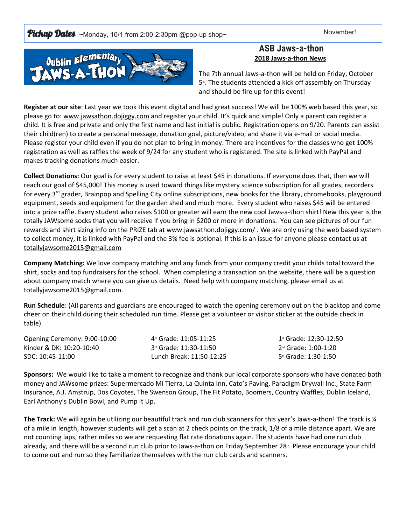**Pickup Dates** ~Monday, 10/1 from 2:00-2:30pm @pop-up shop~  $\blacksquare$  November!



### **ASB Jaws-a-thon 2018 Jaws-a-thon News**

The 7th annual Jaws-a-thon will be held on Friday, October 5<sup>®</sup>. The students attended a kick off assembly on Thursday and should be fire up for this event!

**Register at our site**: Last year we took this event digital and had great success! We will be 100% web based this year, so please go to: [www.jawsathon.dojiggy.com](http://www.jawsathon.dojiggy.com/) and register your child. It's quick and simple! Only a parent can register a child. It is free and private and only the first name and last initial is public. Registration opens on 9/20. Parents can assist their child(ren) to create a personal message, donation goal, picture/video, and share it via e-mail or social media. Please register your child even if you do not plan to bring in money. There are incentives for the classes who get 100% registration as well as raffles the week of 9/24 for any student who is registered. The site is linked with PayPal and makes tracking donations much easier.

**Collect Donations:** Our goal is for every student to raise at least \$45 in donations. If everyone does that, then we will reach our goal of \$45,000! This money is used toward things like mystery science subscription for all grades, recorders for every 3<sup>rd</sup> grader, Brainpop and Spelling City online subscriptions, new books for the library, chromebooks, playground equipment, seeds and equipment for the garden shed and much more. Every student who raises \$45 will be entered into a prize raffle. Every student who raises \$100 or greater will earn the new cool Jaws-a-thon shirt! New this year is the totally JAWsome socks that you will receive if you bring in \$200 or more in donations. You can see pictures of our fun rewards and shirt sizing info on the PRIZE tab at [www.jawsathon.dojiggy.com/](http://www.jawsathon.dojiggy.com/). We are only using the web based system to collect money, it is linked with PayPal and the 3% fee is optional. If this is an issue for anyone please contact us at [totallyjawsome2015@gmail.com](mailto:totallyjawsome2015@gmail.com)

**Company Matching:** We love company matching and any funds from your company credit your childs total toward the shirt, socks and top fundraisers for the school. When completing a transaction on the website, there will be a question about company match where you can give us details. Need help with company matching, please email us at totallyjawsome2015@gmail.com.

**Run Schedule**: (All parents and guardians are encouraged to watch the opening ceremony out on the blacktop and come cheer on their child during their scheduled run time. Please get a volunteer or visitor sticker at the outside check in table)

Opening Ceremony: 9:00-10:00 Kinder & DK: 10:20-10:40 SDC: 10:45-11:00 4 th Grade: 11:05-11:25 3<sup>rd</sup> Grade: 11:30-11:50 Lunch Break: 11:50-12:25 1 st Grade: 12:30-12:50 2 nd Grade: 1:00-1:20 5 th Grade: 1:30-1:50

**Sponsors:** We would like to take a moment to recognize and thank our local corporate sponsors who have donated both money and JAWsome prizes: Supermercado Mi Tierra, La Quinta Inn, Cato's Paving, Paradigm Drywall Inc., State Farm Insurance, A.J. Amstrup, Dos Coyotes, The Swenson Group, The Fit Potato, Boomers, Country Waffles, Dublin Iceland, Earl Anthony's Dublin Bowl, and Pump It Up.

**The Track:** We will again be utilizing our beautiful track and run club scanners for this year's Jaws-a-thon! The track is ¼ of a mile in length, however students will get a scan at 2 check points on the track, 1/8 of a mile distance apart. We are not counting laps, rather miles so we are requesting flat rate donations again. The students have had one run club already, and there will be a second run club prior to Jaws-a-thon on Friday September 28<sup>th</sup>. Please encourage your child to come out and run so they familiarize themselves with the run club cards and scanners.